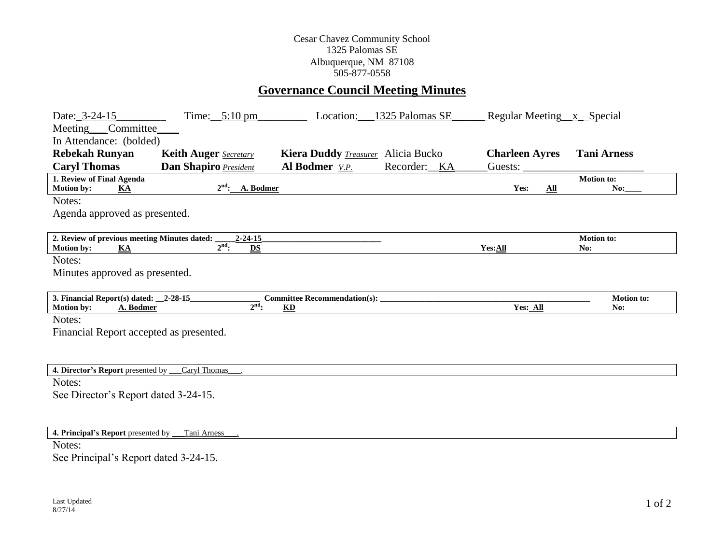## Cesar Chavez Community School 1325 Palomas SE Albuquerque, NM 87108 505-877-0558

## **Governance Council Meeting Minutes**

| Date: 3-24-15                                                                  | Time: $5:10 \text{ pm}$        | Location:                                 | 1325 Palomas SE | Regular Meeting x Special |                          |  |  |  |  |  |
|--------------------------------------------------------------------------------|--------------------------------|-------------------------------------------|-----------------|---------------------------|--------------------------|--|--|--|--|--|
| Meeting___Committee_                                                           |                                |                                           |                 |                           |                          |  |  |  |  |  |
| In Attendance: (bolded)                                                        |                                |                                           |                 |                           |                          |  |  |  |  |  |
| <b>Rebekah Runyan</b>                                                          | <b>Keith Auger</b> Secretary   | Kiera Duddy <i>Treasurer</i> Alicia Bucko |                 | <b>Charleen Ayres</b>     | <b>Tani Arness</b>       |  |  |  |  |  |
| <b>Caryl Thomas</b>                                                            | <b>Dan Shapiro President</b>   | Al Bodmer V.P.                            | Recorder: KA    | Guests:                   |                          |  |  |  |  |  |
| 1. Review of Final Agenda<br><b>Motion by:</b><br><b>KA</b>                    | $2nd$ : A. Bodmer              |                                           |                 | Yes:<br>$\Delta$ ll       | <b>Motion to:</b><br>No: |  |  |  |  |  |
| Notes:                                                                         |                                |                                           |                 |                           |                          |  |  |  |  |  |
| Agenda approved as presented.                                                  |                                |                                           |                 |                           |                          |  |  |  |  |  |
|                                                                                |                                |                                           |                 |                           |                          |  |  |  |  |  |
| 2. Review of previous meeting Minutes dated:<br><b>Motion by:</b><br><b>KA</b> | $2 - 24 - 15$<br>$2nd$ :<br>DS |                                           |                 | Yes:All                   | <b>Motion to:</b><br>No: |  |  |  |  |  |
| Notes:                                                                         |                                |                                           |                 |                           |                          |  |  |  |  |  |
| Minutes approved as presented.                                                 |                                |                                           |                 |                           |                          |  |  |  |  |  |
|                                                                                |                                |                                           |                 |                           |                          |  |  |  |  |  |
| 3. Financial Report(s) dated: 2-28-15                                          |                                | <b>Committee Recommendation(s):</b>       |                 |                           | <b>Motion</b> to:        |  |  |  |  |  |
| <b>Motion by:</b><br>A. Bodmer                                                 | $2nd$ :                        | $\mathbf{K}\mathbf{D}$                    |                 | Yes: All                  | No:                      |  |  |  |  |  |
| Notes:                                                                         |                                |                                           |                 |                           |                          |  |  |  |  |  |
| Financial Report accepted as presented.                                        |                                |                                           |                 |                           |                          |  |  |  |  |  |
|                                                                                |                                |                                           |                 |                           |                          |  |  |  |  |  |
|                                                                                |                                |                                           |                 |                           |                          |  |  |  |  |  |
| 4. Director's Report presented by Caryl Thomas                                 |                                |                                           |                 |                           |                          |  |  |  |  |  |
| Notes:                                                                         |                                |                                           |                 |                           |                          |  |  |  |  |  |
| See Director's Report dated 3-24-15.                                           |                                |                                           |                 |                           |                          |  |  |  |  |  |
|                                                                                |                                |                                           |                 |                           |                          |  |  |  |  |  |
|                                                                                |                                |                                           |                 |                           |                          |  |  |  |  |  |
| 4. Principal's Report presented by __                                          | Tani Arness                    |                                           |                 |                           |                          |  |  |  |  |  |

Notes:

See Principal's Report dated 3-24-15.